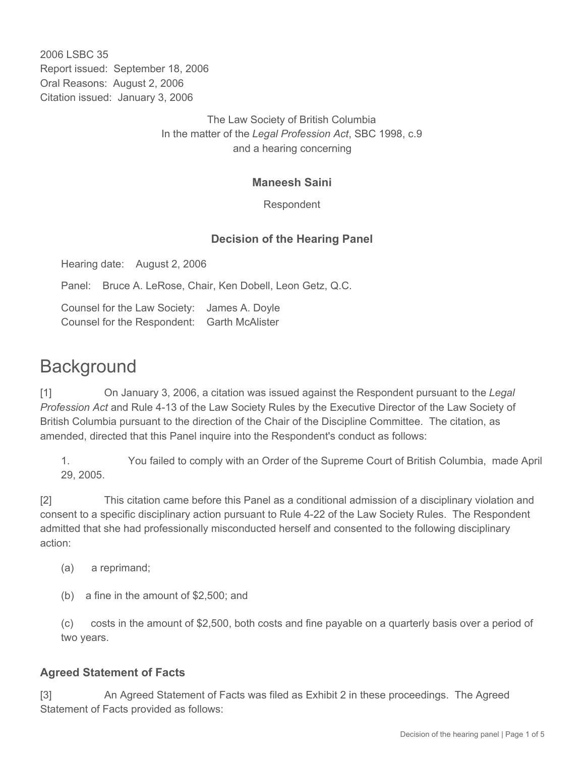2006 LSBC 35 Report issued: September 18, 2006 Oral Reasons: August 2, 2006 Citation issued: January 3, 2006

> The Law Society of British Columbia In the matter of the *Legal Profession Act*, SBC 1998, c.9 and a hearing concerning

#### **Maneesh Saini**

Respondent

### **Decision of the Hearing Panel**

Hearing date: August 2, 2006

Panel: Bruce A. LeRose, Chair, Ken Dobell, Leon Getz, Q.C.

Counsel for the Law Society: James A. Doyle Counsel for the Respondent: Garth McAlister

# **Background**

[1] On January 3, 2006, a citation was issued against the Respondent pursuant to the *Legal Profession Act* and Rule 4-13 of the Law Society Rules by the Executive Director of the Law Society of British Columbia pursuant to the direction of the Chair of the Discipline Committee. The citation, as amended, directed that this Panel inquire into the Respondent's conduct as follows:

1. You failed to comply with an Order of the Supreme Court of British Columbia, made April 29, 2005.

[2] This citation came before this Panel as a conditional admission of a disciplinary violation and consent to a specific disciplinary action pursuant to Rule 4-22 of the Law Society Rules. The Respondent admitted that she had professionally misconducted herself and consented to the following disciplinary action:

- (a) a reprimand;
- (b) a fine in the amount of \$2,500; and

(c) costs in the amount of \$2,500, both costs and fine payable on a quarterly basis over a period of two years.

#### **Agreed Statement of Facts**

[3] An Agreed Statement of Facts was filed as Exhibit 2 in these proceedings. The Agreed Statement of Facts provided as follows: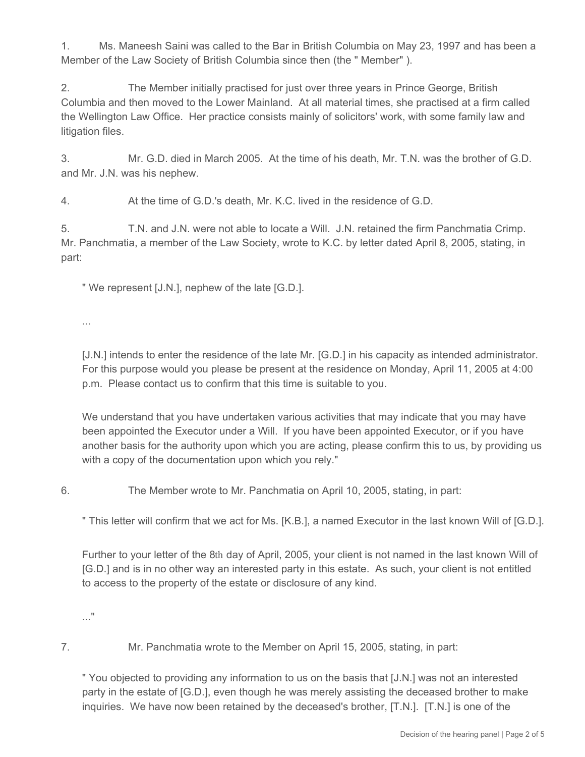1. Ms. Maneesh Saini was called to the Bar in British Columbia on May 23, 1997 and has been a Member of the Law Society of British Columbia since then (the " Member" ).

2. The Member initially practised for just over three years in Prince George, British Columbia and then moved to the Lower Mainland. At all material times, she practised at a firm called the Wellington Law Office. Her practice consists mainly of solicitors' work, with some family law and litigation files.

3. Mr. G.D. died in March 2005. At the time of his death, Mr. T.N. was the brother of G.D. and Mr. J.N. was his nephew.

4. At the time of G.D.'s death, Mr. K.C. lived in the residence of G.D.

5. T.N. and J.N. were not able to locate a Will. J.N. retained the firm Panchmatia Crimp. Mr. Panchmatia, a member of the Law Society, wrote to K.C. by letter dated April 8, 2005, stating, in part:

" We represent [J.N.], nephew of the late [G.D.].

...

[J.N.] intends to enter the residence of the late Mr. [G.D.] in his capacity as intended administrator. For this purpose would you please be present at the residence on Monday, April 11, 2005 at 4:00 p.m. Please contact us to confirm that this time is suitable to you.

We understand that you have undertaken various activities that may indicate that you may have been appointed the Executor under a Will. If you have been appointed Executor, or if you have another basis for the authority upon which you are acting, please confirm this to us, by providing us with a copy of the documentation upon which you rely."

6. The Member wrote to Mr. Panchmatia on April 10, 2005, stating, in part:

" This letter will confirm that we act for Ms. [K.B.], a named Executor in the last known Will of [G.D.].

Further to your letter of the 8th day of April, 2005, your client is not named in the last known Will of [G.D.] and is in no other way an interested party in this estate. As such, your client is not entitled to access to the property of the estate or disclosure of any kind.

..."

7. Mr. Panchmatia wrote to the Member on April 15, 2005, stating, in part:

" You objected to providing any information to us on the basis that [J.N.] was not an interested party in the estate of [G.D.], even though he was merely assisting the deceased brother to make inquiries. We have now been retained by the deceased's brother, [T.N.]. [T.N.] is one of the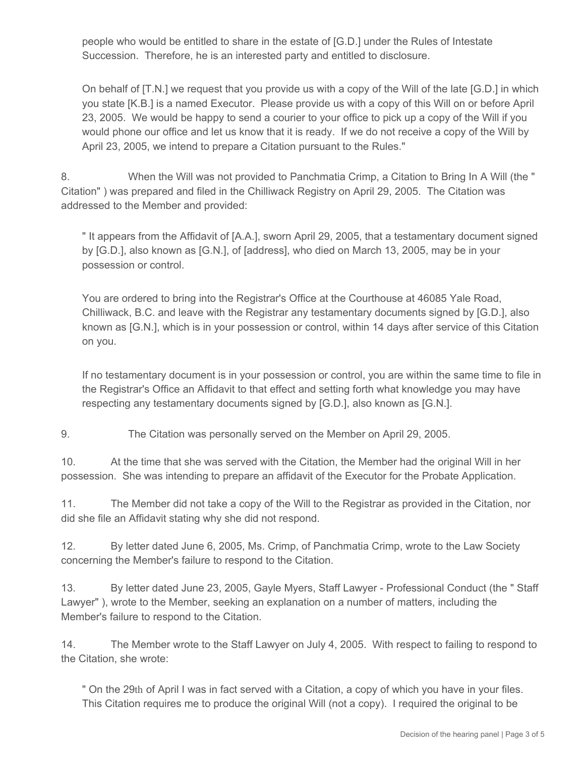people who would be entitled to share in the estate of [G.D.] under the Rules of Intestate Succession. Therefore, he is an interested party and entitled to disclosure.

On behalf of [T.N.] we request that you provide us with a copy of the Will of the late [G.D.] in which you state [K.B.] is a named Executor. Please provide us with a copy of this Will on or before April 23, 2005. We would be happy to send a courier to your office to pick up a copy of the Will if you would phone our office and let us know that it is ready. If we do not receive a copy of the Will by April 23, 2005, we intend to prepare a Citation pursuant to the Rules."

8. When the Will was not provided to Panchmatia Crimp, a Citation to Bring In A Will (the " Citation" ) was prepared and filed in the Chilliwack Registry on April 29, 2005. The Citation was addressed to the Member and provided:

" It appears from the Affidavit of [A.A.], sworn April 29, 2005, that a testamentary document signed by [G.D.], also known as [G.N.], of [address], who died on March 13, 2005, may be in your possession or control.

You are ordered to bring into the Registrar's Office at the Courthouse at 46085 Yale Road, Chilliwack, B.C. and leave with the Registrar any testamentary documents signed by [G.D.], also known as [G.N.], which is in your possession or control, within 14 days after service of this Citation on you.

If no testamentary document is in your possession or control, you are within the same time to file in the Registrar's Office an Affidavit to that effect and setting forth what knowledge you may have respecting any testamentary documents signed by [G.D.], also known as [G.N.].

9. The Citation was personally served on the Member on April 29, 2005.

10. At the time that she was served with the Citation, the Member had the original Will in her possession. She was intending to prepare an affidavit of the Executor for the Probate Application.

11. The Member did not take a copy of the Will to the Registrar as provided in the Citation, nor did she file an Affidavit stating why she did not respond.

12. By letter dated June 6, 2005, Ms. Crimp, of Panchmatia Crimp, wrote to the Law Society concerning the Member's failure to respond to the Citation.

13. By letter dated June 23, 2005, Gayle Myers, Staff Lawyer - Professional Conduct (the " Staff Lawyer" ), wrote to the Member, seeking an explanation on a number of matters, including the Member's failure to respond to the Citation.

14. The Member wrote to the Staff Lawyer on July 4, 2005. With respect to failing to respond to the Citation, she wrote:

" On the 29th of April I was in fact served with a Citation, a copy of which you have in your files. This Citation requires me to produce the original Will (not a copy). I required the original to be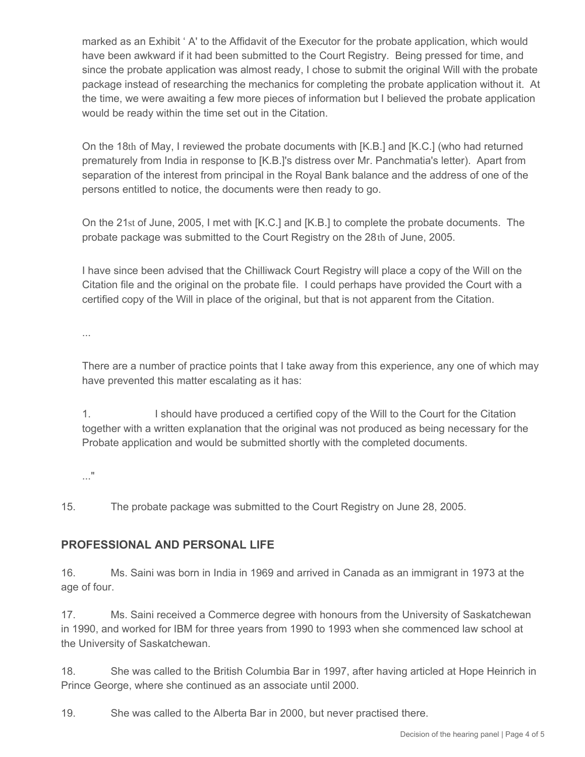marked as an Exhibit ' A' to the Affidavit of the Executor for the probate application, which would have been awkward if it had been submitted to the Court Registry. Being pressed for time, and since the probate application was almost ready, I chose to submit the original Will with the probate package instead of researching the mechanics for completing the probate application without it. At the time, we were awaiting a few more pieces of information but I believed the probate application would be ready within the time set out in the Citation.

On the 18th of May, I reviewed the probate documents with [K.B.] and [K.C.] (who had returned prematurely from India in response to [K.B.]'s distress over Mr. Panchmatia's letter). Apart from separation of the interest from principal in the Royal Bank balance and the address of one of the persons entitled to notice, the documents were then ready to go.

On the 21st of June, 2005, I met with [K.C.] and [K.B.] to complete the probate documents. The probate package was submitted to the Court Registry on the 28th of June, 2005.

I have since been advised that the Chilliwack Court Registry will place a copy of the Will on the Citation file and the original on the probate file. I could perhaps have provided the Court with a certified copy of the Will in place of the original, but that is not apparent from the Citation.

...

There are a number of practice points that I take away from this experience, any one of which may have prevented this matter escalating as it has:

1. I should have produced a certified copy of the Will to the Court for the Citation together with a written explanation that the original was not produced as being necessary for the Probate application and would be submitted shortly with the completed documents.

..."

15. The probate package was submitted to the Court Registry on June 28, 2005.

## **PROFESSIONAL AND PERSONAL LIFE**

16. Ms. Saini was born in India in 1969 and arrived in Canada as an immigrant in 1973 at the age of four.

17. Ms. Saini received a Commerce degree with honours from the University of Saskatchewan in 1990, and worked for IBM for three years from 1990 to 1993 when she commenced law school at the University of Saskatchewan.

18. She was called to the British Columbia Bar in 1997, after having articled at Hope Heinrich in Prince George, where she continued as an associate until 2000.

19. She was called to the Alberta Bar in 2000, but never practised there.